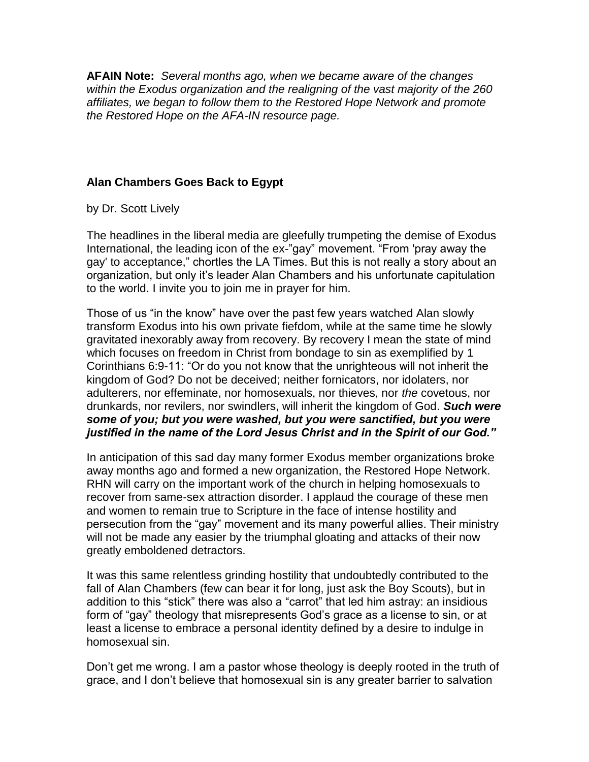**AFAIN Note:** *Several months ago, when we became aware of the changes within the Exodus organization and the realigning of the vast majority of the 260 affiliates, we began to follow them to the Restored Hope Network and promote the Restored Hope on the AFA-IN resource page.*

## **Alan Chambers Goes Back to Egypt**

by Dr. Scott Lively

The headlines in the liberal media are gleefully trumpeting the demise of Exodus International, the leading icon of the ex-"gay" movement. "From 'pray away the gay' to acceptance," chortles the LA Times. But this is not really a story about an organization, but only it's leader Alan Chambers and his unfortunate capitulation to the world. I invite you to join me in prayer for him.

Those of us "in the know" have over the past few years watched Alan slowly transform Exodus into his own private fiefdom, while at the same time he slowly gravitated inexorably away from recovery. By recovery I mean the state of mind which focuses on freedom in Christ from bondage to sin as exemplified by 1 Corinthians 6:9-11: "Or do you not know that the unrighteous will not inherit the kingdom of God? Do not be deceived; neither fornicators, nor idolaters, nor adulterers, nor effeminate, nor homosexuals, nor thieves, nor *the* covetous, nor drunkards, nor revilers, nor swindlers, will inherit the kingdom of God. *Such were some of you; but you were washed, but you were sanctified, but you were justified in the name of the Lord Jesus Christ and in the Spirit of our God."*

In anticipation of this sad day many former Exodus member organizations broke away months ago and formed a new organization, the Restored Hope Network. RHN will carry on the important work of the church in helping homosexuals to recover from same-sex attraction disorder. I applaud the courage of these men and women to remain true to Scripture in the face of intense hostility and persecution from the "gay" movement and its many powerful allies. Their ministry will not be made any easier by the triumphal gloating and attacks of their now greatly emboldened detractors.

It was this same relentless grinding hostility that undoubtedly contributed to the fall of Alan Chambers (few can bear it for long, just ask the Boy Scouts), but in addition to this "stick" there was also a "carrot" that led him astray: an insidious form of "gay" theology that misrepresents God's grace as a license to sin, or at least a license to embrace a personal identity defined by a desire to indulge in homosexual sin.

Don't get me wrong. I am a pastor whose theology is deeply rooted in the truth of grace, and I don't believe that homosexual sin is any greater barrier to salvation